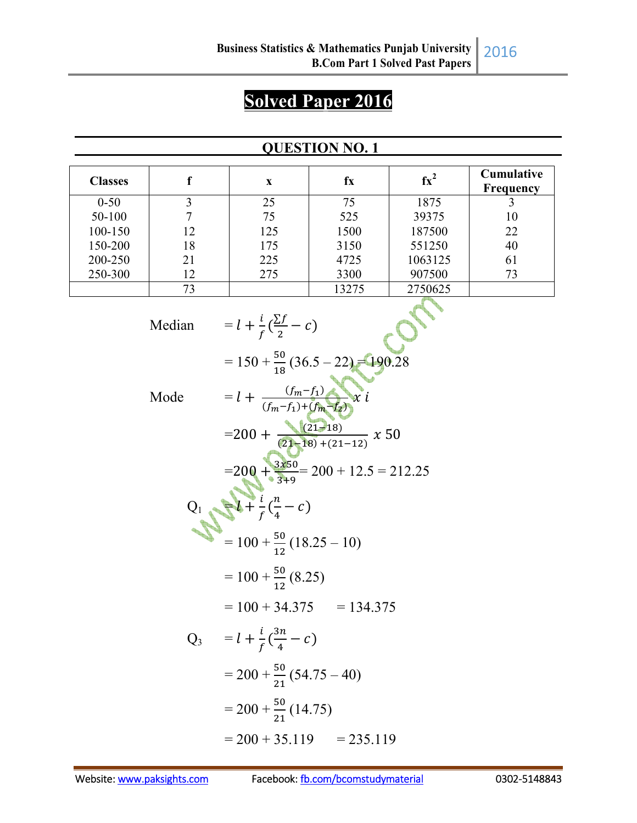# **Solved Paper 2016**

#### **QUESTION NO. 1**

| <b>Classes</b> |    | X   | fx    | $\mathbf{f} \mathbf{x}^2$ | <b>Cumulative</b><br><b>Frequency</b> |
|----------------|----|-----|-------|---------------------------|---------------------------------------|
| $0 - 50$       | 3  | 25  | 75    | 1875                      |                                       |
| 50-100         |    | 75  | 525   | 39375                     | 10                                    |
| 100-150        | 12 | 125 | 1500  | 187500                    | 22                                    |
| 150-200        | 18 | 175 | 3150  | 551250                    | 40                                    |
| 200-250        | 21 | 225 | 4725  | 1063125                   | 61                                    |
| 250-300        | 12 | 275 | 3300  | 907500                    | 73                                    |
|                | 73 |     | 13275 | 2750625                   |                                       |

Median =  $l + \frac{i}{f}(\frac{\sum f}{2})$  $\frac{2I}{2} - C$  $= 150 + \frac{50}{18} (36.5 - 22) = 190.28$ Mode  $= l + \frac{(f_m - f_1)}{(f_m - f_1) + (f_m - f_2)}$  $\frac{(3m+1)}{(fm-f_1)+(fm-f_2)}$  x i  $=200 + \frac{(21-18)}{(21-18)+(21-12)}$  x 50  $=200 + \frac{3x50}{3+9} = 200 + 12.5 = 212.25$  $Q_1 = \frac{1}{f} (\frac{n}{4})^2$  $\frac{n}{4} - c$  $= 100 + \frac{50}{12}(18.25 - 10)$  $= 100 + \frac{50}{12}(8.25)$  $= 100 + 34.375 = 134.375$  $Q_3 = l + \frac{i}{f}(\frac{3n}{4})$  $\frac{3\pi}{4} - c$  $= 200 + \frac{50}{21} (54.75 - 40)$  $= 200 + \frac{50}{21}(14.75)$  $= 200 + 35.119 = 235.119$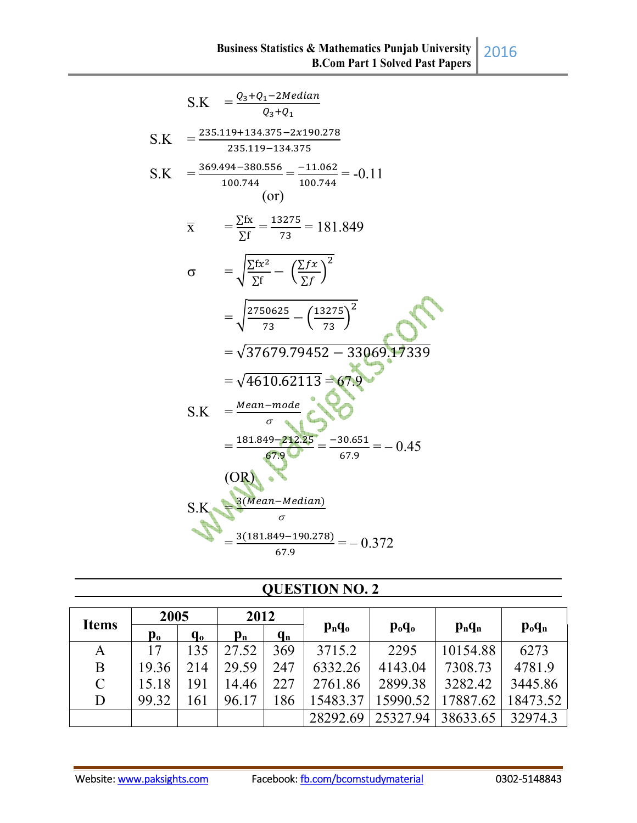| S.K $=\frac{Q_3+Q_1-2Median}{Q_3+Q_1}$                                                |
|---------------------------------------------------------------------------------------|
| $=\frac{235.119+134.375-2x190.278}{2}$<br>S.K<br>235.119-134.375                      |
| $=\frac{369.494 - 380.556}{100.744} = \frac{-11.062}{100.744} = -0.11$<br>S.K<br>(or) |
| $=\frac{\sum fx}{\sum f} = \frac{13275}{73} = 181.849$<br>$\overline{X}$              |
| $=\sqrt{\frac{\sum fx^2}{\sum f}} - (\frac{\sum fx}{\sum f})^2$<br>$\sigma$           |
| $=\sqrt{\frac{2750625}{72}-\left(\frac{13275}{72}\right)^2}$                          |
| $=\sqrt{37679.79452}-33069.17339$                                                     |
| $=\sqrt{4610.62113} = 67.9$<br>$=$ Mean-mode<br>S.K                                   |
| $=\frac{181.849-212.25}{67.9}=\frac{-30.651}{67.9}=-0.45$<br>(OR)                     |
| 3(Mean-Median)<br>S.K                                                                 |
| $\frac{3(181.849 - 190.278)}{2} = -0.372$<br>67.9                                     |

## **QUESTION NO. 2**

| <b>Items</b> | 2005           |         | 2012                      |         |                                             |          |           |                                |
|--------------|----------------|---------|---------------------------|---------|---------------------------------------------|----------|-----------|--------------------------------|
|              | $\mathbf{p}_0$ | $q_{o}$ | $\mathbf{p}_{\mathbf{n}}$ | $q_{n}$ | $p_n q_o$<br>$\mathbf{p}_{o}\mathbf{q}_{o}$ |          | $p_n q_n$ | $\mathbf{p}_{o}\mathbf{q}_{n}$ |
| A            | 17             | 135     | 27.52                     | 369     | 3715.2                                      | 2295     | 10154.88  | 6273                           |
| B            | 19.36          | 214     | 29.59                     | 247     | 6332.26                                     | 4143.04  | 7308.73   | 4781.9                         |
| $\mathbf C$  | 15.18          | 191     | 14.46                     | 227     | 2761.86                                     | 2899.38  | 3282.42   | 3445.86                        |
| D            | 99.32          | 161     | 96.17                     | 186     | 15483.37                                    | 15990.52 | 17887.62  | 18473.52                       |
|              |                |         |                           |         | 28292.69                                    | 25327.94 | 38633.65  | 32974.3                        |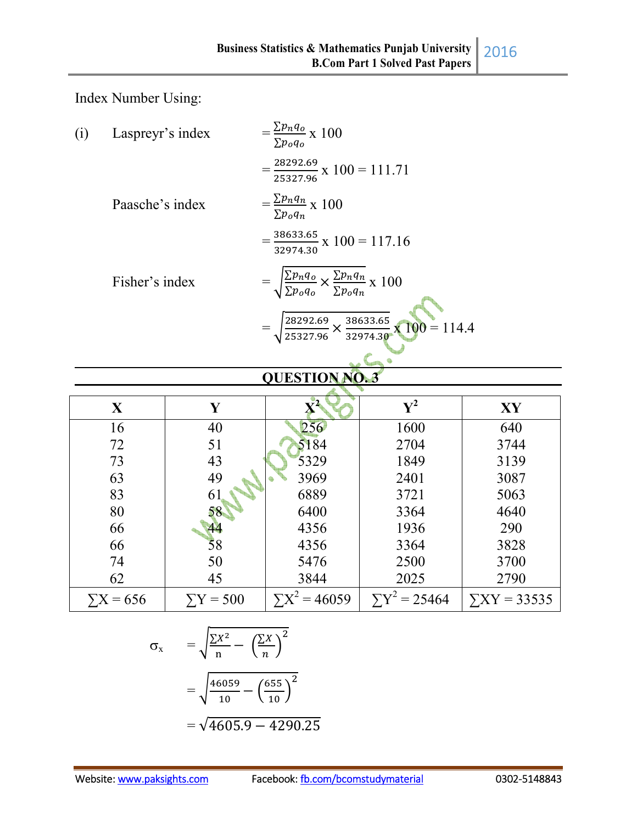Index Number Using:

| (i) | Laspreyr's index | $=\frac{\sum p_n q_o}{\sum x} \times 100$<br>$\Sigma p_o q_o$                                            |
|-----|------------------|----------------------------------------------------------------------------------------------------------|
|     |                  | $=\frac{28292.69}{25327.96} \times 100 = 111.71$                                                         |
|     | Paasche's index  | $=\frac{\sum p_n q_n}{\sum p_o q_n} \times 100$                                                          |
|     |                  | $=\frac{38633.65}{32974.30} \times 100 = 117.16$                                                         |
|     | Fisher's index   | $= \sqrt{\frac{\Sigma p_n q_o}{\Sigma p_o q_o}} \times \frac{\Sigma p_n q_n}{\Sigma p_o q_n} \times 100$ |
|     |                  | $= \sqrt{\frac{28292.69}{25327.96}} \times \frac{38633.65}{32974.30} \times 100 = 114.4$                 |
|     |                  | <b>AUROBIAN MA</b>                                                                                       |

#### **QUESTION NO. 3**

| X                | Y              |                      | ${\bf V}^2$        | XY                |
|------------------|----------------|----------------------|--------------------|-------------------|
| 16               | 40             | 256                  | 1600               | 640               |
| 72               | 51             | 5184                 | 2704               | 3744              |
| 73               | 43             | 5329                 | 1849               | 3139              |
| 63               | 49             | 3969                 | 2401               | 3087              |
| 83               | 61             | 6889                 | 3721               | 5063              |
| 80               | 58             | 6400                 | 3364               | 4640              |
| 66               | 44             | 4356                 | 1936               | 290               |
| 66               | 58             | 4356                 | 3364               | 3828              |
| 74               | 50             | 5476                 | 2500               | 3700              |
| 62               | 45             | 3844                 | 2025               | 2790              |
| $\Sigma X = 656$ | $\sum Y = 500$ | $\Sigma X^2 = 46059$ | $\sum Y^2 = 25464$ | $\sum XY = 33535$ |

$$
\sigma_x = \sqrt{\frac{\sum X^2}{n} - \left(\frac{\sum X}{n}\right)^2}
$$

$$
= \sqrt{\frac{46059}{10} - \left(\frac{655}{10}\right)^2}
$$

$$
= \sqrt{4605.9 - 4290.25}
$$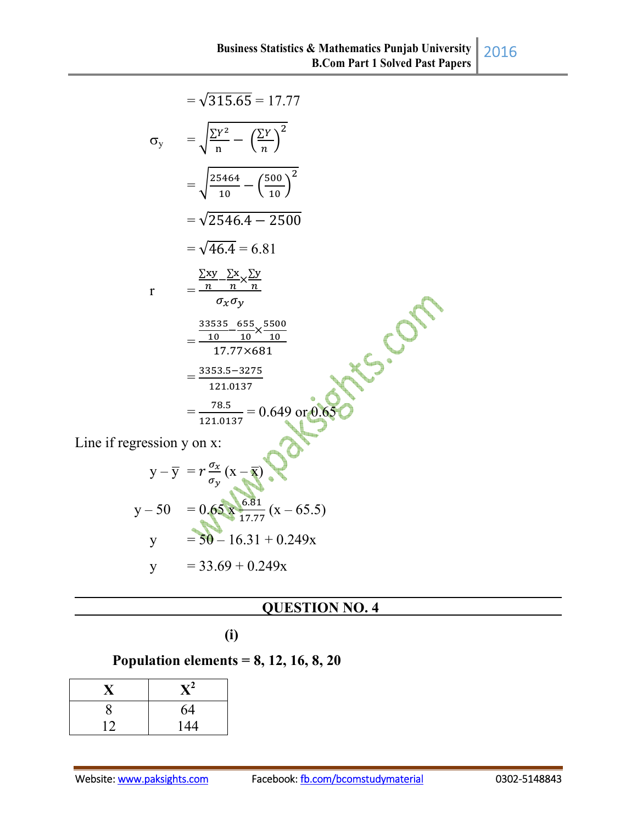|                            | $=\sqrt{315.65} = 17.77$                                                                                                               |
|----------------------------|----------------------------------------------------------------------------------------------------------------------------------------|
|                            | $\sigma_{y} = \sqrt{\frac{\Sigma Y^2}{n} - (\frac{\Sigma Y}{n})^2}$                                                                    |
|                            | $=\sqrt{\frac{25464}{10}-\left(\frac{500}{10}\right)^2}$                                                                               |
|                            | $=\sqrt{2546.4 - 2500}$                                                                                                                |
|                            | $=\sqrt{46.4}=6.81$                                                                                                                    |
| $\mathbf r$                | $=\frac{\frac{\sum xy}{n} - \frac{\sum x}{n}}{\sigma_x \sigma_y}$                                                                      |
|                            | $=\frac{33535}{10}-\frac{655}{10}\times\frac{5500}{10}$<br>17.77×681                                                                   |
|                            | $=\frac{3353.5-3275}{5}$<br>121.0137                                                                                                   |
|                            | $=\frac{78.5}{121.0137}=0.649 \text{ or } 0.65$                                                                                        |
| Line if regression y on x: |                                                                                                                                        |
|                            | y - y = $r \frac{\sigma_x}{\sigma_y} (x - \overline{x})$<br>y - 50 = 0.65 x $\frac{6.81}{17.77} (x - 65.5)$<br>y = 50 - 16.31 + 0.249x |
|                            |                                                                                                                                        |
|                            |                                                                                                                                        |

$$
y = 33.69 + 0.249x
$$

## **QUESTION NO. 4**

 **(i)** 

## **Population elements = 8, 12, 16, 8, 20**

| X  | $\mathbf{X}^2$ |
|----|----------------|
| 8  | 64             |
| 12 | 144            |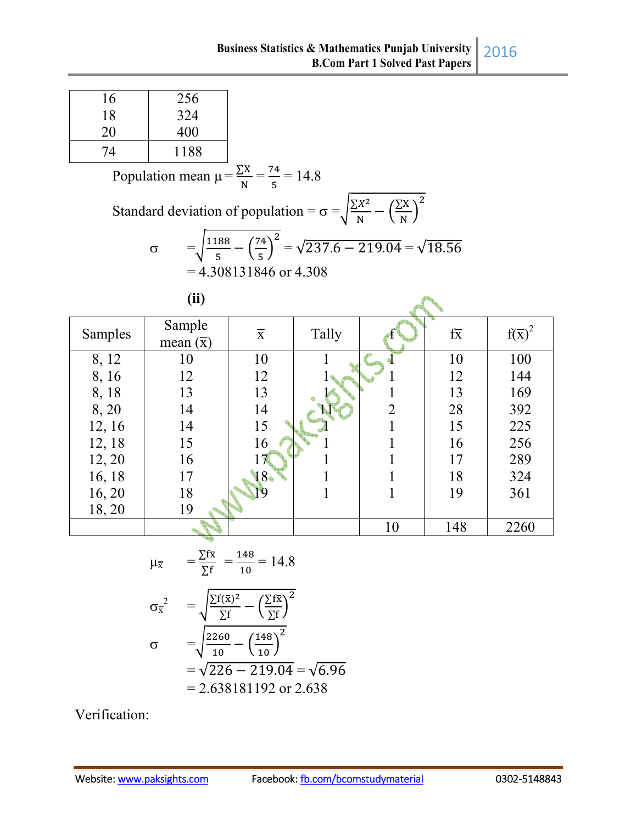| 16 | 256  |
|----|------|
| 18 | 324  |
| 20 | 400  |
| 74 | 1188 |

Population mean  $\mu = \frac{\Sigma X}{N} = \frac{74}{5}$  $\frac{4}{5}$  = 14.8 Standard deviation of population =  $\sigma = \sqrt{\frac{\sum X^2}{N}}$  $\frac{X^2}{N} - \left(\frac{\sum X}{N}\right)$  $\frac{1}{N}$  $\overline{\mathbf{c}}$  $\sigma = \sqrt{\frac{1188}{5}}$  $\frac{188}{5} - \left(\frac{74}{5}\right)$  $\frac{1}{5}$  $\sqrt{237.6 - 219.04} = \sqrt{18.56}$  $= 4.308131846$  or 4.308

| (ii) |
|------|
|      |

| Samples | Sample<br>mean $(\overline{x})$ | $\overline{\mathbf{X}}$ | Tally |                | $f\overline{x}$ | $f(\overline{x})^2$ |
|---------|---------------------------------|-------------------------|-------|----------------|-----------------|---------------------|
| 8, 12   | 10                              | 10                      |       |                | 10              | 100                 |
| 8, 16   | 12                              | 12                      |       |                | 12              | 144                 |
| 8, 18   | 13                              | 13                      |       |                | 13              | 169                 |
| 8,20    | 14                              | 14                      |       | $\overline{2}$ | 28              | 392                 |
| 12, 16  | 14                              | 15                      |       |                | 15              | 225                 |
| 12, 18  | 15                              | 16                      |       |                | 16              | 256                 |
| 12, 20  | 16                              | 17                      |       |                | 17              | 289                 |
| 16, 18  | 17                              | $18-$                   |       |                | 18              | 324                 |
| 16, 20  | 18                              |                         |       |                | 19              | 361                 |
| 18,20   | 19                              |                         |       |                |                 |                     |
|         |                                 |                         |       | 10             | 148             | 2260                |

$$
\mu_{\overline{x}} = \frac{\Sigma f \overline{x}}{\Sigma f} = \frac{148}{10} = 14.8
$$
\n
$$
\sigma_{\overline{x}}^2 = \sqrt{\frac{\Sigma f(\overline{x})^2}{\Sigma f} - \left(\frac{\Sigma f \overline{x}}{\Sigma f}\right)^2}
$$
\n
$$
\sigma = \sqrt{\frac{2260}{10} - \left(\frac{148}{10}\right)^2}
$$
\n
$$
= \sqrt{226 - 219.04} = \sqrt{6.96}
$$
\n
$$
= 2.638181192 \text{ or } 2.638
$$

Verification: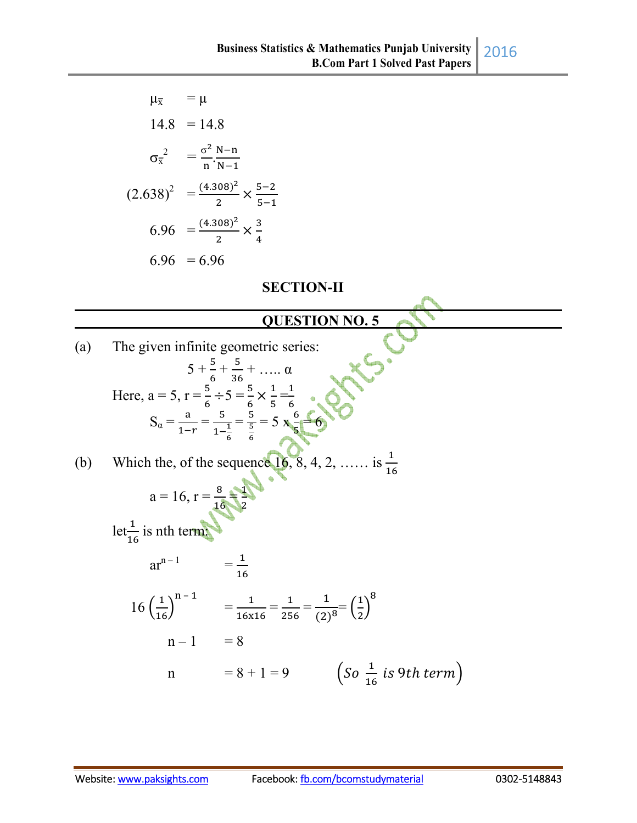|     | $\mu_{\overline{x}}$<br>$= \mu$                                      |                                                                                                                                                                                            |                                                           |  |
|-----|----------------------------------------------------------------------|--------------------------------------------------------------------------------------------------------------------------------------------------------------------------------------------|-----------------------------------------------------------|--|
|     | $14.8 = 14.8$                                                        |                                                                                                                                                                                            |                                                           |  |
|     | $\sigma_{\overline{x}}^2 = \frac{\sigma^2}{n} \cdot \frac{N-n}{N-1}$ |                                                                                                                                                                                            |                                                           |  |
|     | $(2.638)^2 = \frac{(4.308)^2}{2} \times \frac{5-2}{5-1}$             |                                                                                                                                                                                            |                                                           |  |
|     | 6.96 = $\frac{(4.308)^2}{2} \times \frac{3}{4}$                      |                                                                                                                                                                                            |                                                           |  |
|     | $6.96 = 6.96$                                                        |                                                                                                                                                                                            |                                                           |  |
|     |                                                                      | <b>SECTION-II</b>                                                                                                                                                                          |                                                           |  |
|     |                                                                      | <b>QUESTION NO. 5</b>                                                                                                                                                                      |                                                           |  |
|     |                                                                      |                                                                                                                                                                                            |                                                           |  |
| (a) | The given infinite geometric series:                                 |                                                                                                                                                                                            |                                                           |  |
|     |                                                                      | $5 + \frac{5}{6} + \frac{5}{36} + \dots$ $\alpha$                                                                                                                                          |                                                           |  |
|     |                                                                      |                                                                                                                                                                                            |                                                           |  |
|     |                                                                      | Here, $a = 5$ , $r = \frac{5}{6} \div 5 = \frac{5}{6} \times \frac{1}{5} = \frac{1}{6}$<br>$S_{\alpha} = \frac{a}{1-r} = \frac{5}{1-\frac{1}{6}} = \frac{5}{6} = 5 \times \frac{6}{5} = 6$ |                                                           |  |
|     |                                                                      |                                                                                                                                                                                            |                                                           |  |
| (b) |                                                                      | Which the, of the sequence $\begin{bmatrix} 6 \\ 8 \\ 4 \\ 2 \\ \end{bmatrix}$ , $\begin{bmatrix} 6 \\ 4 \\ 2 \\ 6 \\ \end{bmatrix}$                                                       |                                                           |  |
|     |                                                                      |                                                                                                                                                                                            |                                                           |  |
|     | $a = 16, r = \frac{8}{16}$                                           |                                                                                                                                                                                            |                                                           |  |
|     | let $\frac{1}{16}$ is nth term:                                      |                                                                                                                                                                                            |                                                           |  |
|     | $ar^{n-1}$                                                           | $=\frac{1}{16}$                                                                                                                                                                            |                                                           |  |
|     |                                                                      | 16 $\left(\frac{1}{16}\right)^{n-1}$ = $\frac{1}{16x16}$ = $\frac{1}{256}$ = $\frac{1}{(2)^8}$ = $\left(\frac{1}{2}\right)^8$                                                              |                                                           |  |
|     | $n-1 = 8$                                                            |                                                                                                                                                                                            |                                                           |  |
|     | $\mathbf n$                                                          | $= 8 + 1 = 9$                                                                                                                                                                              | $\left(So\frac{1}{16} \text{ is } 9\text{th term}\right)$ |  |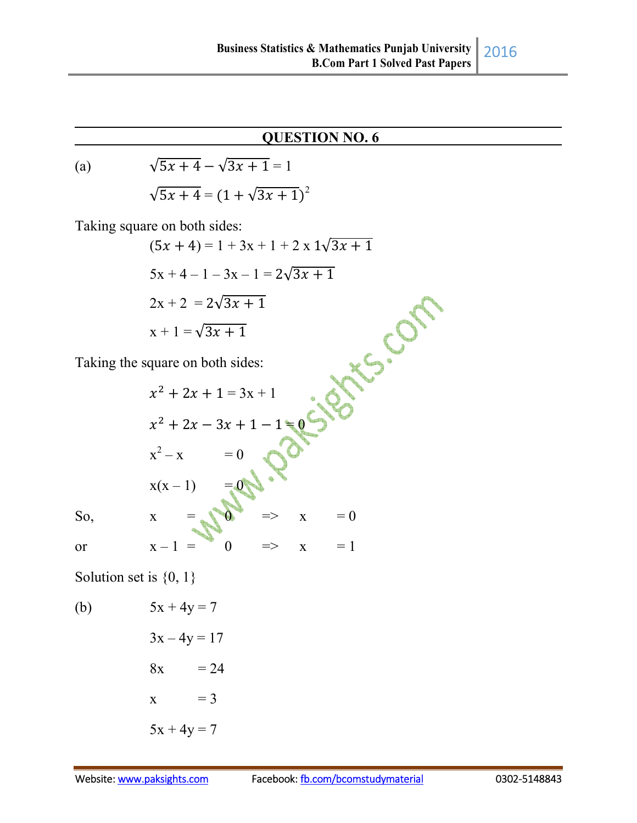## 2016

### **QUESTION NO. 6**

(a)  $\sqrt{5x+4} - \sqrt{3x+1} = 1$  $\sqrt{5x+4} = (1 + \sqrt{3x+1})^2$ 

Taking square on both sides:

$$
(5x + 4) = 1 + 3x + 1 + 2 \times 1\sqrt{3x + 1}
$$
  
\n
$$
5x + 4 - 1 - 3x - 1 = 2\sqrt{3x + 1}
$$
  
\n
$$
2x + 2 = 2\sqrt{3x + 1}
$$
  
\n
$$
x + 1 = \sqrt{3x + 1}
$$
  
\nTaking the square on both sides:  
\n
$$
x^2 + 2x + 1 = 3x + 1
$$

Taking the square on both sides:

$$
x^{2} + 2x + 1 = 3x + 1
$$
\n
$$
x^{2} + 2x - 3x + 1 - 1 = 0
$$
\n
$$
x^{2} - x = 0
$$
\n
$$
x(x - 1) = 0
$$
\nSo,\n
$$
x = 0
$$
\n
$$
x - 1 = 0 \implies x = 1
$$

Solution set is  $\{0, 1\}$ 

(b) 
$$
5x + 4y = 7
$$

$$
3x - 4y = 17
$$

$$
8x = 24
$$

$$
x = 3
$$

$$
5x + 4y = 7
$$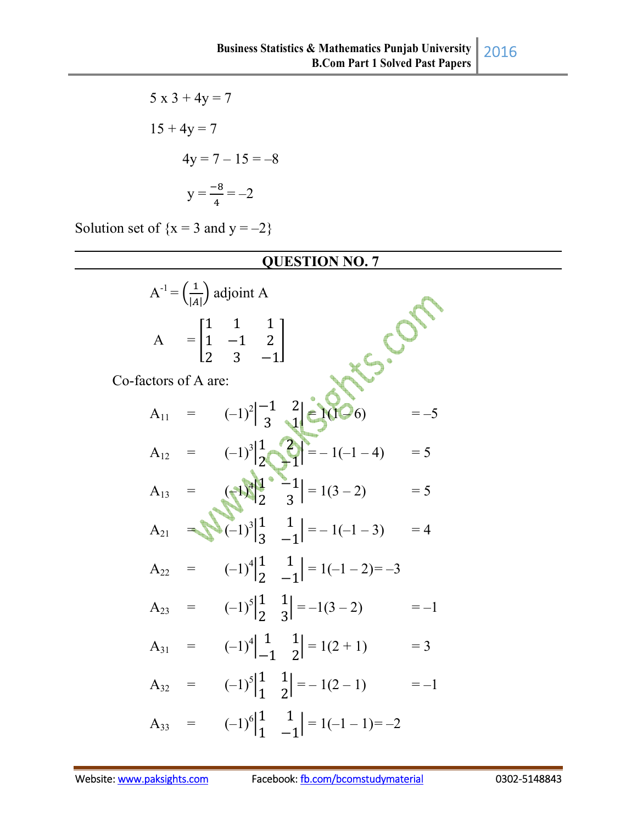$5 x 3 + 4y = 7$  $15 + 4y = 7$  $4y = 7 - 15 = -8$  $y = \frac{-8}{4}$  $\frac{1}{4} = -2$ 

Solution set of  ${x = 3}$  and  ${y = -2}$ 

#### **QUESTION NO. 7**

|                      | $A^{-1} = \left(\frac{1}{ A }\right)$ adjoint A                          |                                                                                                                      |       |
|----------------------|--------------------------------------------------------------------------|----------------------------------------------------------------------------------------------------------------------|-------|
|                      | $A = \begin{bmatrix} 1 & 1 & 1 \\ 1 & -1 & 2 \\ 2 & 2 & 1 \end{bmatrix}$ |                                                                                                                      |       |
| Co-factors of A are: |                                                                          |                                                                                                                      |       |
|                      |                                                                          | $A_{11} = (-1)^2 \begin{vmatrix} -1 & 2 \\ 3 & 1 \end{vmatrix} \in (1)^2 (6)$                                        | $=-5$ |
|                      |                                                                          | $A_{12} = (-1)^3 \begin{vmatrix} 1 & 2 \\ 2 & -1 \end{vmatrix} = -1(-1-4)$                                           | $= 5$ |
|                      |                                                                          | A <sub>13</sub> = $\left(\frac{1}{2}\right)^{\frac{3}{2}}\left \frac{1}{2}\right  = 1(3-2)$                          | $= 5$ |
|                      |                                                                          | A <sub>21</sub> $\left \sum_{i=1}^{n}(-1)^{3}\right _{2}^{1} \left \sum_{i=1}^{n}(-1)^{3}\right _{2}^{1} = -1(-1-3)$ | $=4$  |
|                      |                                                                          | $A_{22} = (-1)^4 \begin{vmatrix} 1 & 1 \\ 2 & -1 \end{vmatrix} = 1(-1-2) = -3$                                       |       |
|                      |                                                                          | $A_{23} = (-1)^5 \begin{vmatrix} 1 & 1 \\ 2 & 3 \end{vmatrix} = -1(3-2)$                                             | $=-1$ |
|                      |                                                                          | $A_{31} = (-1)^4 \begin{bmatrix} 1 & 1 \\ -1 & 2 \end{bmatrix} = 1(2+1)$                                             | $=$ 3 |
|                      |                                                                          | $A_{32} = (-1)^5 \begin{vmatrix} 1 & 1 \\ 1 & 2 \end{vmatrix} = -1(2-1)$                                             | $=-1$ |
| $\equiv$<br>$A_{33}$ |                                                                          | $(-1)^6\begin{vmatrix} 1 & 1 \\ 1 & 1 \end{vmatrix} = 1(-1-1) = -2$                                                  |       |